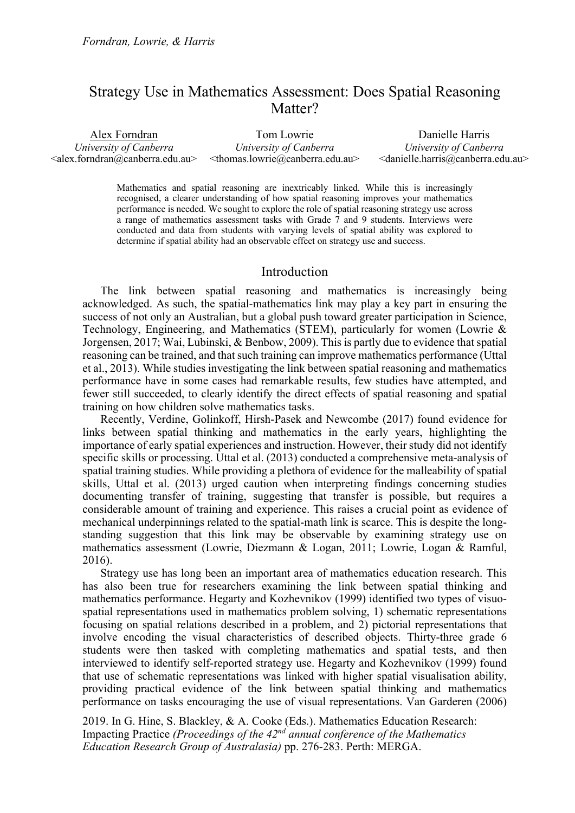# Strategy Use in Mathematics Assessment: Does Spatial Reasoning Matter?

Alex Forndran *University of Canberra* <alex.forndran@canberra.edu.au>

Tom Lowrie *University of Canberra* <thomas.lowrie@canberra.edu.au>

Danielle Harris *University of Canberra* <danielle.harris@canberra.edu.au>

Mathematics and spatial reasoning are inextricably linked. While this is increasingly recognised, a clearer understanding of how spatial reasoning improves your mathematics performance is needed. We sought to explore the role of spatial reasoning strategy use across a range of mathematics assessment tasks with Grade 7 and 9 students. Interviews were conducted and data from students with varying levels of spatial ability was explored to determine if spatial ability had an observable effect on strategy use and success.

# Introduction

The link between spatial reasoning and mathematics is increasingly being acknowledged. As such, the spatial-mathematics link may play a key part in ensuring the success of not only an Australian, but a global push toward greater participation in Science, Technology, Engineering, and Mathematics (STEM), particularly for women (Lowrie & Jorgensen, 2017; Wai, Lubinski, & Benbow, 2009). This is partly due to evidence that spatial reasoning can be trained, and that such training can improve mathematics performance (Uttal et al., 2013). While studies investigating the link between spatial reasoning and mathematics performance have in some cases had remarkable results, few studies have attempted, and fewer still succeeded, to clearly identify the direct effects of spatial reasoning and spatial training on how children solve mathematics tasks.

Recently, Verdine, Golinkoff, Hirsh-Pasek and Newcombe (2017) found evidence for links between spatial thinking and mathematics in the early years, highlighting the importance of early spatial experiences and instruction. However, their study did not identify specific skills or processing. Uttal et al. (2013) conducted a comprehensive meta-analysis of spatial training studies. While providing a plethora of evidence for the malleability of spatial skills, Uttal et al. (2013) urged caution when interpreting findings concerning studies documenting transfer of training, suggesting that transfer is possible, but requires a considerable amount of training and experience. This raises a crucial point as evidence of mechanical underpinnings related to the spatial-math link is scarce. This is despite the longstanding suggestion that this link may be observable by examining strategy use on mathematics assessment (Lowrie, Diezmann & Logan, 2011; Lowrie, Logan & Ramful, 2016).

Strategy use has long been an important area of mathematics education research. This has also been true for researchers examining the link between spatial thinking and mathematics performance. Hegarty and Kozhevnikov (1999) identified two types of visuospatial representations used in mathematics problem solving, 1) schematic representations focusing on spatial relations described in a problem, and 2) pictorial representations that involve encoding the visual characteristics of described objects. Thirty-three grade 6 students were then tasked with completing mathematics and spatial tests, and then interviewed to identify self-reported strategy use. Hegarty and Kozhevnikov (1999) found that use of schematic representations was linked with higher spatial visualisation ability, providing practical evidence of the link between spatial thinking and mathematics performance on tasks encouraging the use of visual representations. Van Garderen (2006)

2019. In G. Hine, S. Blackley, & A. Cooke (Eds.). Mathematics Education Research: Impacting Practice *(Proceedings of the 42nd annual conference of the Mathematics Education Research Group of Australasia)* pp. 276-283. Perth: MERGA.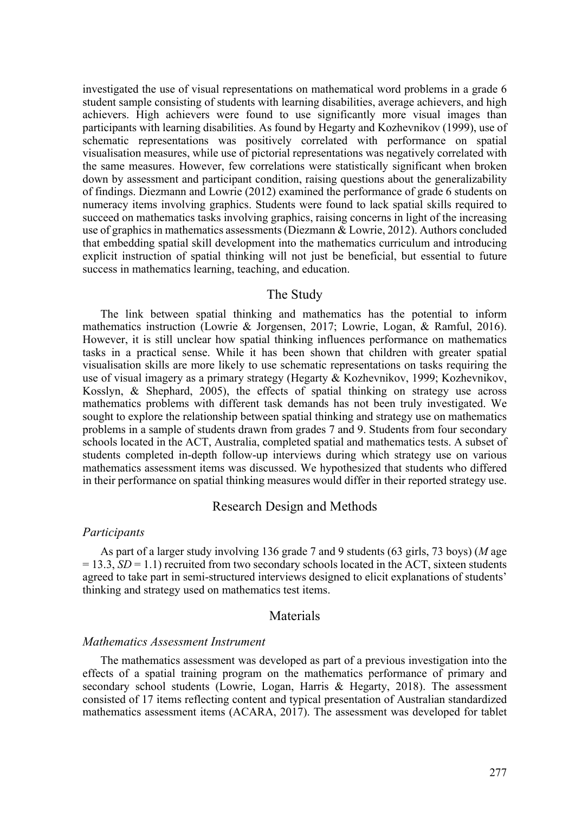investigated the use of visual representations on mathematical word problems in a grade 6 student sample consisting of students with learning disabilities, average achievers, and high achievers. High achievers were found to use significantly more visual images than participants with learning disabilities. As found by Hegarty and Kozhevnikov (1999), use of schematic representations was positively correlated with performance on spatial visualisation measures, while use of pictorial representations was negatively correlated with the same measures. However, few correlations were statistically significant when broken down by assessment and participant condition, raising questions about the generalizability of findings. Diezmann and Lowrie (2012) examined the performance of grade 6 students on numeracy items involving graphics. Students were found to lack spatial skills required to succeed on mathematics tasks involving graphics, raising concerns in light of the increasing use of graphics in mathematics assessments (Diezmann & Lowrie, 2012). Authors concluded that embedding spatial skill development into the mathematics curriculum and introducing explicit instruction of spatial thinking will not just be beneficial, but essential to future success in mathematics learning, teaching, and education.

### The Study

The link between spatial thinking and mathematics has the potential to inform mathematics instruction (Lowrie & Jorgensen, 2017; Lowrie, Logan, & Ramful, 2016). However, it is still unclear how spatial thinking influences performance on mathematics tasks in a practical sense. While it has been shown that children with greater spatial visualisation skills are more likely to use schematic representations on tasks requiring the use of visual imagery as a primary strategy (Hegarty & Kozhevnikov, 1999; Kozhevnikov, Kosslyn, & Shephard, 2005), the effects of spatial thinking on strategy use across mathematics problems with different task demands has not been truly investigated. We sought to explore the relationship between spatial thinking and strategy use on mathematics problems in a sample of students drawn from grades 7 and 9. Students from four secondary schools located in the ACT, Australia, completed spatial and mathematics tests. A subset of students completed in-depth follow-up interviews during which strategy use on various mathematics assessment items was discussed. We hypothesized that students who differed in their performance on spatial thinking measures would differ in their reported strategy use.

# Research Design and Methods

### *Participants*

As part of a larger study involving 136 grade 7 and 9 students (63 girls, 73 boys) (*M* age  $= 13.3, SD = 1.1$ ) recruited from two secondary schools located in the ACT, sixteen students agreed to take part in semi-structured interviews designed to elicit explanations of students' thinking and strategy used on mathematics test items.

### Materials

#### *Mathematics Assessment Instrument*

The mathematics assessment was developed as part of a previous investigation into the effects of a spatial training program on the mathematics performance of primary and secondary school students (Lowrie, Logan, Harris & Hegarty, 2018). The assessment consisted of 17 items reflecting content and typical presentation of Australian standardized mathematics assessment items (ACARA, 2017). The assessment was developed for tablet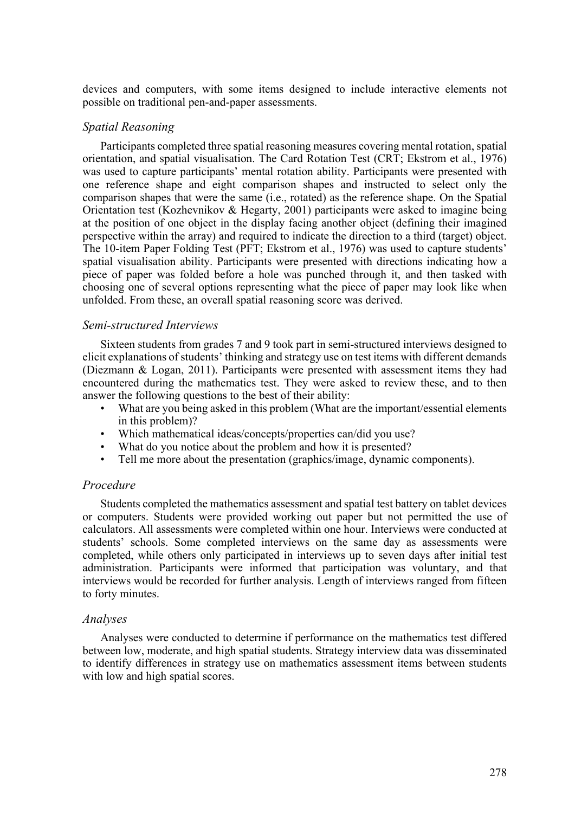devices and computers, with some items designed to include interactive elements not possible on traditional pen-and-paper assessments.

# *Spatial Reasoning*

Participants completed three spatial reasoning measures covering mental rotation, spatial orientation, and spatial visualisation. The Card Rotation Test (CRT; Ekstrom et al., 1976) was used to capture participants' mental rotation ability. Participants were presented with one reference shape and eight comparison shapes and instructed to select only the comparison shapes that were the same (i.e., rotated) as the reference shape. On the Spatial Orientation test (Kozhevnikov & Hegarty, 2001) participants were asked to imagine being at the position of one object in the display facing another object (defining their imagined perspective within the array) and required to indicate the direction to a third (target) object. The 10-item Paper Folding Test (PFT; Ekstrom et al., 1976) was used to capture students' spatial visualisation ability. Participants were presented with directions indicating how a piece of paper was folded before a hole was punched through it, and then tasked with choosing one of several options representing what the piece of paper may look like when unfolded. From these, an overall spatial reasoning score was derived.

### *Semi-structured Interviews*

Sixteen students from grades 7 and 9 took part in semi-structured interviews designed to elicit explanations of students' thinking and strategy use on test items with different demands (Diezmann & Logan, 2011). Participants were presented with assessment items they had encountered during the mathematics test. They were asked to review these, and to then answer the following questions to the best of their ability:

- What are you being asked in this problem (What are the important/essential elements in this problem)?
- Which mathematical ideas/concepts/properties can/did you use?
- What do you notice about the problem and how it is presented?
- Tell me more about the presentation (graphics/image, dynamic components).

# *Procedure*

Students completed the mathematics assessment and spatial test battery on tablet devices or computers. Students were provided working out paper but not permitted the use of calculators. All assessments were completed within one hour. Interviews were conducted at students' schools. Some completed interviews on the same day as assessments were completed, while others only participated in interviews up to seven days after initial test administration. Participants were informed that participation was voluntary, and that interviews would be recorded for further analysis. Length of interviews ranged from fifteen to forty minutes.

# *Analyses*

Analyses were conducted to determine if performance on the mathematics test differed between low, moderate, and high spatial students. Strategy interview data was disseminated to identify differences in strategy use on mathematics assessment items between students with low and high spatial scores.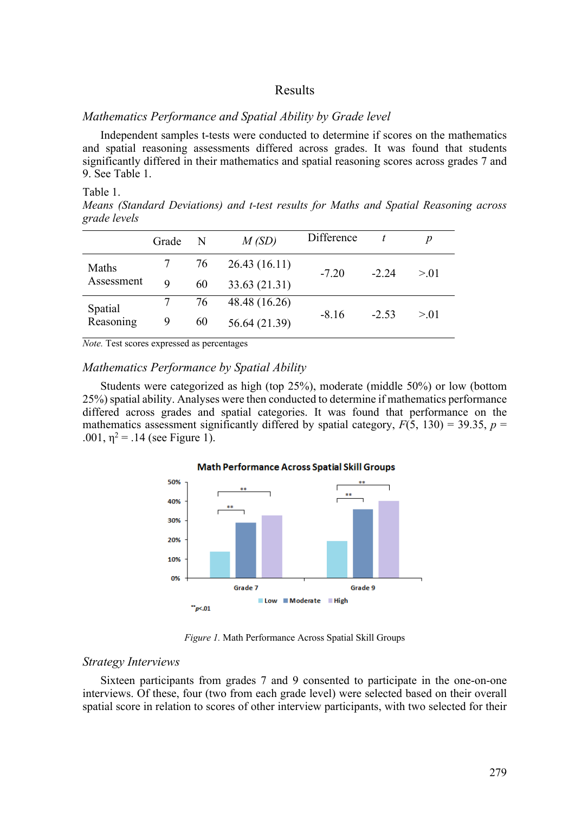# Results

# *Mathematics Performance and Spatial Ability by Grade level*

Independent samples t-tests were conducted to determine if scores on the mathematics and spatial reasoning assessments differed across grades. It was found that students significantly differed in their mathematics and spatial reasoning scores across grades 7 and 9. See Table 1.

#### Table 1.

*Means (Standard Deviations) and t-test results for Maths and Spatial Reasoning across grade levels*

|                      | Grade | N  | M(SD)         | Difference |         | p      |
|----------------------|-------|----|---------------|------------|---------|--------|
| Maths<br>Assessment  |       | 76 | 26.43(16.11)  | $-7.20$    | $-2.24$ | > 0.01 |
|                      | 9     | 60 | 33.63 (21.31) |            |         |        |
| Spatial<br>Reasoning |       | 76 | 48.48 (16.26) | $-8.16$    | $-2.53$ | > 0.01 |
|                      | 9     | 60 | 56.64 (21.39) |            |         |        |

*Note.* Test scores expressed as percentages

# *Mathematics Performance by Spatial Ability*

Students were categorized as high (top 25%), moderate (middle 50%) or low (bottom 25%) spatial ability. Analyses were then conducted to determine if mathematics performance differed across grades and spatial categories. It was found that performance on the mathematics assessment significantly differed by spatial category,  $F(5, 130) = 39.35$ ,  $p =$ .001,  $\eta^2$  = .14 (see Figure 1).



#### **Math Performance Across Spatial Skill Groups**

*Figure 1.* Math Performance Across Spatial Skill Groups

### *Strategy Interviews*

Sixteen participants from grades 7 and 9 consented to participate in the one-on-one interviews. Of these, four (two from each grade level) were selected based on their overall spatial score in relation to scores of other interview participants, with two selected for their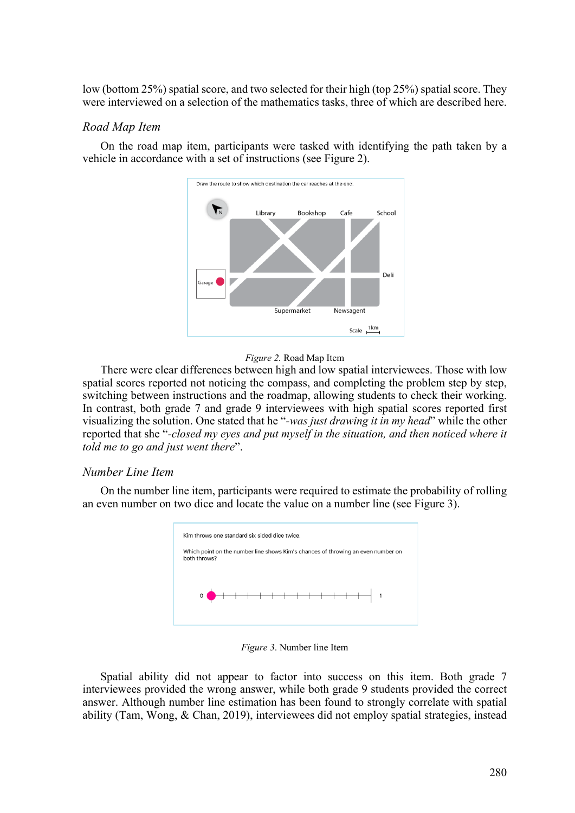low (bottom 25%) spatial score, and two selected for their high (top 25%) spatial score. They were interviewed on a selection of the mathematics tasks, three of which are described here.

### *Road Map Item*

On the road map item, participants were tasked with identifying the path taken by a vehicle in accordance with a set of instructions (see Figure 2).





There were clear differences between high and low spatial interviewees. Those with low spatial scores reported not noticing the compass, and completing the problem step by step, switching between instructions and the roadmap, allowing students to check their working. In contrast, both grade 7 and grade 9 interviewees with high spatial scores reported first visualizing the solution. One stated that he "*-was just drawing it in my head*" while the other reported that she "*-closed my eyes and put myself in the situation, and then noticed where it told me to go and just went there*".

### *Number Line Item*

On the number line item, participants were required to estimate the probability of rolling an even number on two dice and locate the value on a number line (see Figure 3).



*Figure 3*. Number line Item

Spatial ability did not appear to factor into success on this item. Both grade 7 interviewees provided the wrong answer, while both grade 9 students provided the correct answer. Although number line estimation has been found to strongly correlate with spatial ability (Tam, Wong, & Chan, 2019), interviewees did not employ spatial strategies, instead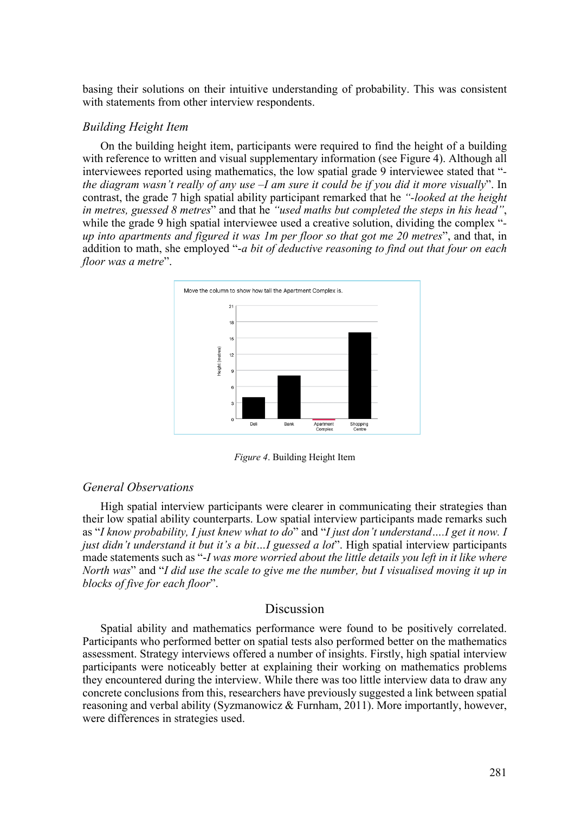basing their solutions on their intuitive understanding of probability. This was consistent with statements from other interview respondents.

### *Building Height Item*

On the building height item, participants were required to find the height of a building with reference to written and visual supplementary information (see Figure 4). Although all interviewees reported using mathematics, the low spatial grade 9 interviewee stated that " *the diagram wasn't really of any use –I am sure it could be if you did it more visually*". In contrast, the grade 7 high spatial ability participant remarked that he *"-looked at the height in metres, guessed 8 metres*" and that he *"used maths but completed the steps in his head"*, while the grade 9 high spatial interviewee used a creative solution, dividing the complex " *up into apartments and figured it was 1m per floor so that got me 20 metres*", and that, in addition to math, she employed "-*a bit of deductive reasoning to find out that four on each floor was a metre*".



*Figure 4*. Building Height Item

### *General Observations*

High spatial interview participants were clearer in communicating their strategies than their low spatial ability counterparts. Low spatial interview participants made remarks such as "*I know probability, I just knew what to do*" and "*I just don't understand….I get it now. I just didn't understand it but it's a bit…I guessed a lot*". High spatial interview participants made statements such as "-*I was more worried about the little details you left in it like where North was*" and "*I did use the scale to give me the number, but I visualised moving it up in blocks of five for each floor*".

# Discussion

Spatial ability and mathematics performance were found to be positively correlated. Participants who performed better on spatial tests also performed better on the mathematics assessment. Strategy interviews offered a number of insights. Firstly, high spatial interview participants were noticeably better at explaining their working on mathematics problems they encountered during the interview. While there was too little interview data to draw any concrete conclusions from this, researchers have previously suggested a link between spatial reasoning and verbal ability (Syzmanowicz & Furnham, 2011). More importantly, however, were differences in strategies used.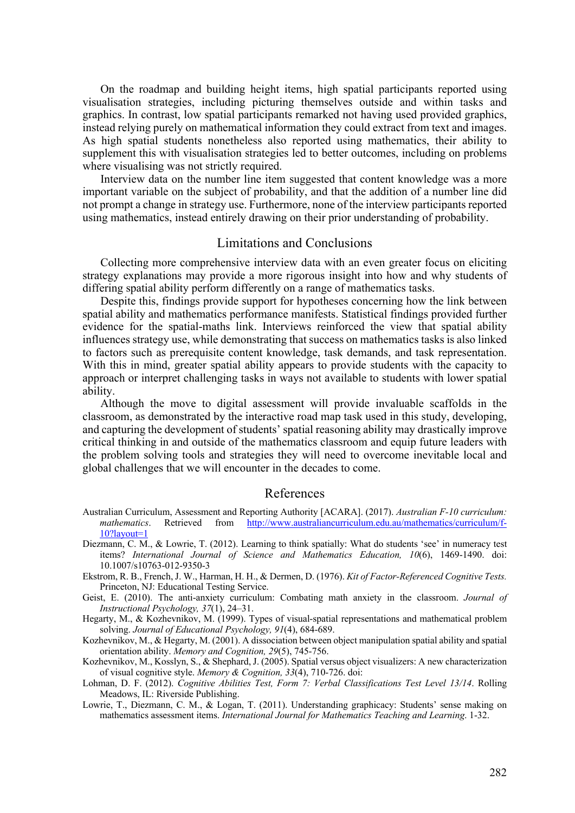On the roadmap and building height items, high spatial participants reported using visualisation strategies, including picturing themselves outside and within tasks and graphics. In contrast, low spatial participants remarked not having used provided graphics, instead relying purely on mathematical information they could extract from text and images. As high spatial students nonetheless also reported using mathematics, their ability to supplement this with visualisation strategies led to better outcomes, including on problems where visualising was not strictly required.

Interview data on the number line item suggested that content knowledge was a more important variable on the subject of probability, and that the addition of a number line did not prompt a change in strategy use. Furthermore, none of the interview participants reported using mathematics, instead entirely drawing on their prior understanding of probability.

# Limitations and Conclusions

Collecting more comprehensive interview data with an even greater focus on eliciting strategy explanations may provide a more rigorous insight into how and why students of differing spatial ability perform differently on a range of mathematics tasks.

Despite this, findings provide support for hypotheses concerning how the link between spatial ability and mathematics performance manifests. Statistical findings provided further evidence for the spatial-maths link. Interviews reinforced the view that spatial ability influences strategy use, while demonstrating that success on mathematics tasks is also linked to factors such as prerequisite content knowledge, task demands, and task representation. With this in mind, greater spatial ability appears to provide students with the capacity to approach or interpret challenging tasks in ways not available to students with lower spatial ability.

Although the move to digital assessment will provide invaluable scaffolds in the classroom, as demonstrated by the interactive road map task used in this study, developing, and capturing the development of students' spatial reasoning ability may drastically improve critical thinking in and outside of the mathematics classroom and equip future leaders with the problem solving tools and strategies they will need to overcome inevitable local and global challenges that we will encounter in the decades to come.

# References

- Australian Curriculum, Assessment and Reporting Authority [ACARA]. (2017). *Australian F-10 curriculum: mathematics*. Retrieved from http://www.australiancurriculum.edu.au/mathematics/curriculum/f-10?layout=1
- Diezmann, C. M., & Lowrie, T. (2012). Learning to think spatially: What do students 'see' in numeracy test items? *International Journal of Science and Mathematics Education, 10*(6), 1469-1490. doi: 10.1007/s10763-012-9350-3
- Ekstrom, R. B., French, J. W., Harman, H. H., & Dermen, D. (1976). *Kit of Factor-Referenced Cognitive Tests.* Princeton, NJ: Educational Testing Service.
- Geist, E. (2010). The anti-anxiety curriculum: Combating math anxiety in the classroom. *Journal of Instructional Psychology, 37*(1), 24–31.
- Hegarty, M., & Kozhevnikov, M. (1999). Types of visual-spatial representations and mathematical problem solving. *Journal of Educational Psychology, 91*(4), 684-689.
- Kozhevnikov, M., & Hegarty, M. (2001). A dissociation between object manipulation spatial ability and spatial orientation ability. *Memory and Cognition, 29*(5), 745-756.
- Kozhevnikov, M., Kosslyn, S., & Shephard, J. (2005). Spatial versus object visualizers: A new characterization of visual cognitive style. *Memory & Cognition, 33*(4), 710-726. doi:
- Lohman, D. F. (2012). *Cognitive Abilities Test, Form 7: Verbal Classifications Test Level 13/14*. Rolling Meadows, IL: Riverside Publishing.
- Lowrie, T., Diezmann, C. M., & Logan, T. (2011). Understanding graphicacy: Students' sense making on mathematics assessment items. *International Journal for Mathematics Teaching and Learning*. 1-32.